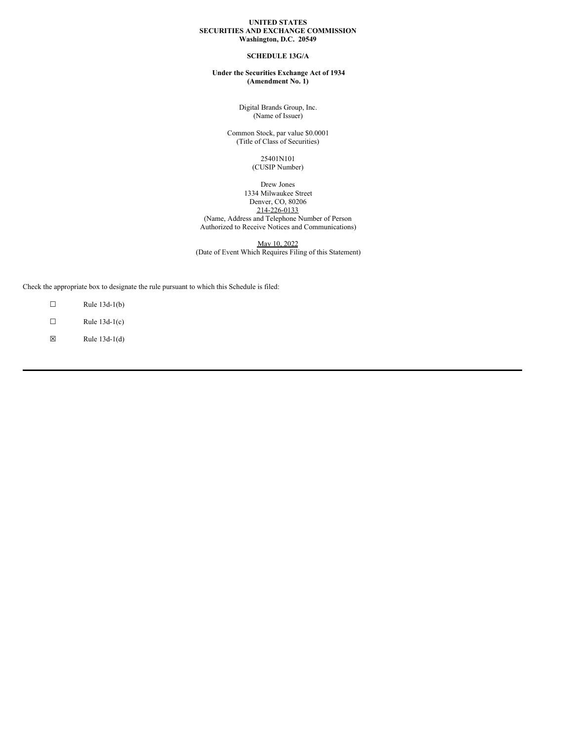#### **UNITED STATES SECURITIES AND EXCHANGE COMMISSION Washington, D.C. 20549**

### **SCHEDULE 13G/A**

**Under the Securities Exchange Act of 1934 (Amendment No. 1)**

> Digital Brands Group, Inc. (Name of Issuer)

Common Stock, par value \$0.0001 (Title of Class of Securities)

> 25401N101 (CUSIP Number)

#### Drew Jones 1334 Milwaukee Street Denver, CO, 80206 214-226-0133 (Name, Address and Telephone Number of Person Authorized to Receive Notices and Communications)

May 10, 2022 (Date of Event Which Requires Filing of this Statement)

Check the appropriate box to designate the rule pursuant to which this Schedule is filed:

- $\Box$  Rule 13d-1(b)
- $\Box$  Rule 13d-1(c)
- $\boxtimes$  Rule 13d-1(d)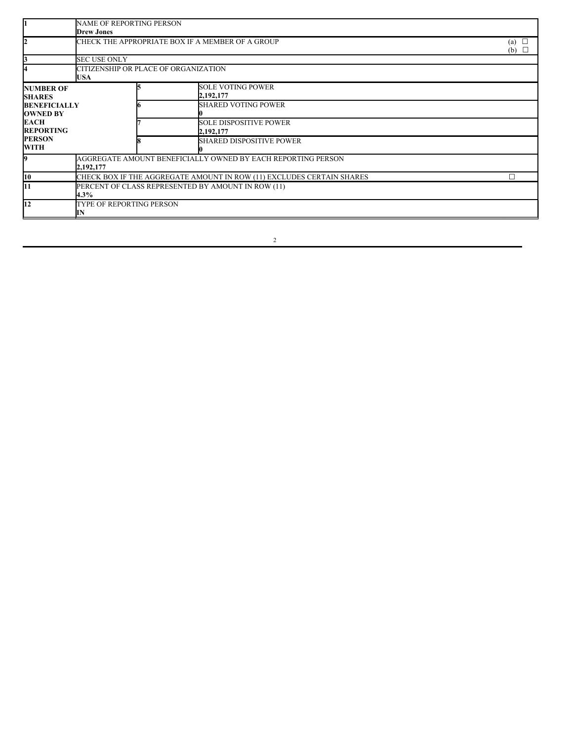|                                        | <b>NAME OF REPORTING PERSON</b><br><b>Drew Jones</b>                      |  |                                            |                          |  |
|----------------------------------------|---------------------------------------------------------------------------|--|--------------------------------------------|--------------------------|--|
| 12                                     | CHECK THE APPROPRIATE BOX IF A MEMBER OF A GROUP                          |  |                                            | (a) $\Box$<br>(b) $\Box$ |  |
|                                        | <b>SEC USE ONLY</b>                                                       |  |                                            |                          |  |
|                                        | CITIZENSHIP OR PLACE OF ORGANIZATION<br><b>USA</b>                        |  |                                            |                          |  |
| <b>NUMBER OF</b><br><b>SHARES</b>      |                                                                           |  | <b>SOLE VOTING POWER</b><br>2,192,177      |                          |  |
| <b>BENEFICIALLY</b><br><b>OWNED BY</b> |                                                                           |  | <b>SHARED VOTING POWER</b>                 |                          |  |
| <b>EACH</b><br><b>REPORTING</b>        |                                                                           |  | <b>SOLE DISPOSITIVE POWER</b><br>2,192,177 |                          |  |
| <b>PERSON</b><br>WITH                  |                                                                           |  | <b>SHARED DISPOSITIVE POWER</b>            |                          |  |
| 9                                      | AGGREGATE AMOUNT BENEFICIALLY OWNED BY EACH REPORTING PERSON<br>2,192,177 |  |                                            |                          |  |
| 10                                     | CHECK BOX IF THE AGGREGATE AMOUNT IN ROW (11) EXCLUDES CERTAIN SHARES     |  |                                            |                          |  |
| 11                                     | PERCENT OF CLASS REPRESENTED BY AMOUNT IN ROW (11)<br>$4.3\%$             |  |                                            |                          |  |
| l12                                    | TYPE OF REPORTING PERSON<br>IN                                            |  |                                            |                          |  |

2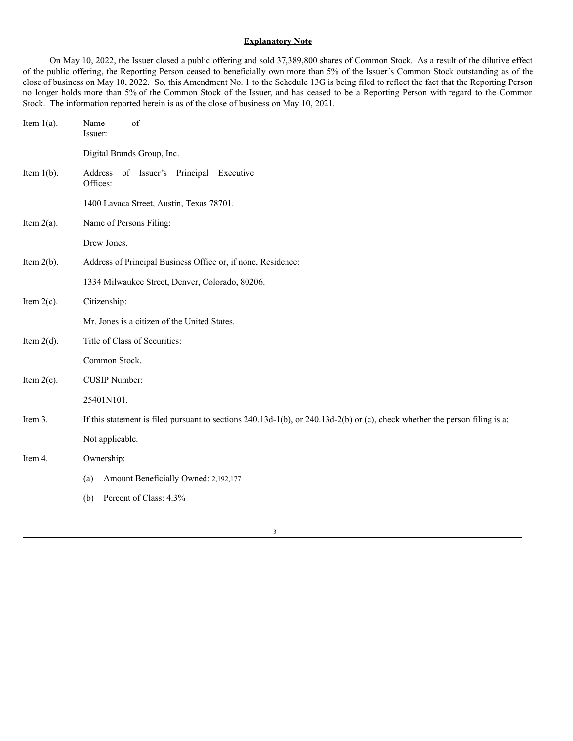## **Explanatory Note**

On May 10, 2022, the Issuer closed a public offering and sold 37,389,800 shares of Common Stock. As a result of the dilutive effect of the public offering, the Reporting Person ceased to beneficially own more than 5% of the Issuer's Common Stock outstanding as of the close of business on May 10, 2022. So, this Amendment No. 1 to the Schedule 13G is being filed to reflect the fact that the Reporting Person no longer holds more than 5% of the Common Stock of the Issuer, and has ceased to be a Reporting Person with regard to the Common Stock. The information reported herein is as of the close of business on May 10, 2021.

| Item $1(a)$ . | of<br>Name<br>Issuer:                                                                                                            |
|---------------|----------------------------------------------------------------------------------------------------------------------------------|
|               | Digital Brands Group, Inc.                                                                                                       |
| Item $l(b)$ . | Address of Issuer's Principal Executive<br>Offices:                                                                              |
|               | 1400 Lavaca Street, Austin, Texas 78701.                                                                                         |
| Item $2(a)$ . | Name of Persons Filing:                                                                                                          |
|               | Drew Jones.                                                                                                                      |
| Item $2(b)$ . | Address of Principal Business Office or, if none, Residence:                                                                     |
|               | 1334 Milwaukee Street, Denver, Colorado, 80206.                                                                                  |
| Item $2(c)$ . | Citizenship:                                                                                                                     |
|               | Mr. Jones is a citizen of the United States.                                                                                     |
| Item $2(d)$ . | Title of Class of Securities:                                                                                                    |
|               | Common Stock.                                                                                                                    |
| Item $2(e)$ . | <b>CUSIP Number:</b>                                                                                                             |
|               | 25401N101.                                                                                                                       |
| Item 3.       | If this statement is filed pursuant to sections $240.13d-1(b)$ , or $240.13d-2(b)$ or (c), check whether the person filing is a: |
|               | Not applicable.                                                                                                                  |
| Item 4.       | Ownership:                                                                                                                       |
|               | Amount Beneficially Owned: 2,192,177<br>(a)                                                                                      |
|               | Percent of Class: 4.3%<br>(b)                                                                                                    |
|               |                                                                                                                                  |

3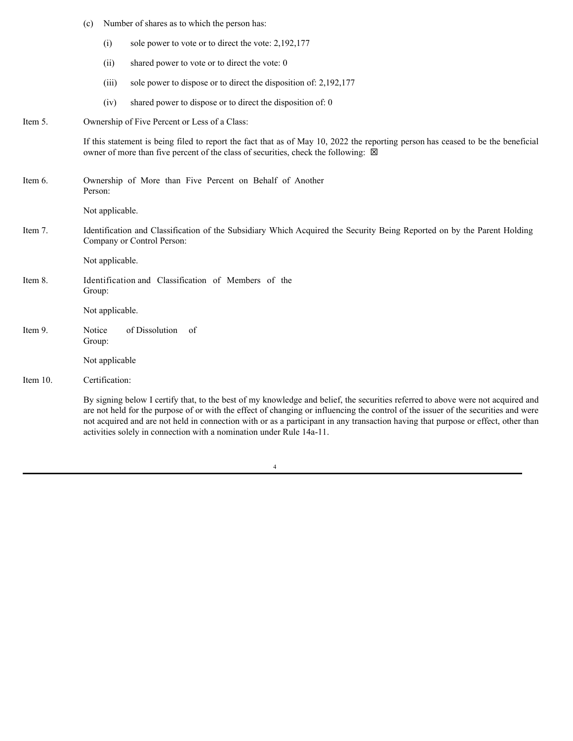|          | (c)              |                 | Number of shares as to which the person has:                                                                                                                                                                                                                                                                                                                                                                                                                                       |  |
|----------|------------------|-----------------|------------------------------------------------------------------------------------------------------------------------------------------------------------------------------------------------------------------------------------------------------------------------------------------------------------------------------------------------------------------------------------------------------------------------------------------------------------------------------------|--|
|          |                  | (i)             | sole power to vote or to direct the vote: 2,192,177                                                                                                                                                                                                                                                                                                                                                                                                                                |  |
|          |                  | (ii)            | shared power to vote or to direct the vote: 0                                                                                                                                                                                                                                                                                                                                                                                                                                      |  |
|          |                  | (iii)           | sole power to dispose or to direct the disposition of: 2,192,177                                                                                                                                                                                                                                                                                                                                                                                                                   |  |
|          |                  | (iv)            | shared power to dispose or to direct the disposition of: 0                                                                                                                                                                                                                                                                                                                                                                                                                         |  |
| Item 5.  |                  |                 | Ownership of Five Percent or Less of a Class:                                                                                                                                                                                                                                                                                                                                                                                                                                      |  |
|          |                  |                 | If this statement is being filed to report the fact that as of May 10, 2022 the reporting person has ceased to be the beneficial<br>owner of more than five percent of the class of securities, check the following: $\boxtimes$                                                                                                                                                                                                                                                   |  |
| Item 6.  | Person:          |                 | Ownership of More than Five Percent on Behalf of Another                                                                                                                                                                                                                                                                                                                                                                                                                           |  |
|          |                  | Not applicable. |                                                                                                                                                                                                                                                                                                                                                                                                                                                                                    |  |
| Item 7.  |                  |                 | Identification and Classification of the Subsidiary Which Acquired the Security Being Reported on by the Parent Holding<br>Company or Control Person:                                                                                                                                                                                                                                                                                                                              |  |
|          |                  | Not applicable. |                                                                                                                                                                                                                                                                                                                                                                                                                                                                                    |  |
| Item 8.  | Group:           |                 | Identification and Classification of Members of the                                                                                                                                                                                                                                                                                                                                                                                                                                |  |
|          |                  | Not applicable. |                                                                                                                                                                                                                                                                                                                                                                                                                                                                                    |  |
| Item 9.  | Notice<br>Group: |                 | of Dissolution<br>of                                                                                                                                                                                                                                                                                                                                                                                                                                                               |  |
|          |                  | Not applicable  |                                                                                                                                                                                                                                                                                                                                                                                                                                                                                    |  |
| Item 10. |                  | Certification:  |                                                                                                                                                                                                                                                                                                                                                                                                                                                                                    |  |
|          |                  |                 | By signing below I certify that, to the best of my knowledge and belief, the securities referred to above were not acquired and<br>are not held for the purpose of or with the effect of changing or influencing the control of the issuer of the securities and were<br>not acquired and are not held in connection with or as a participant in any transaction having that purpose or effect, other than<br>activities solely in connection with a nomination under Rule 14a-11. |  |

|  | ۰ |
|--|---|
|  |   |